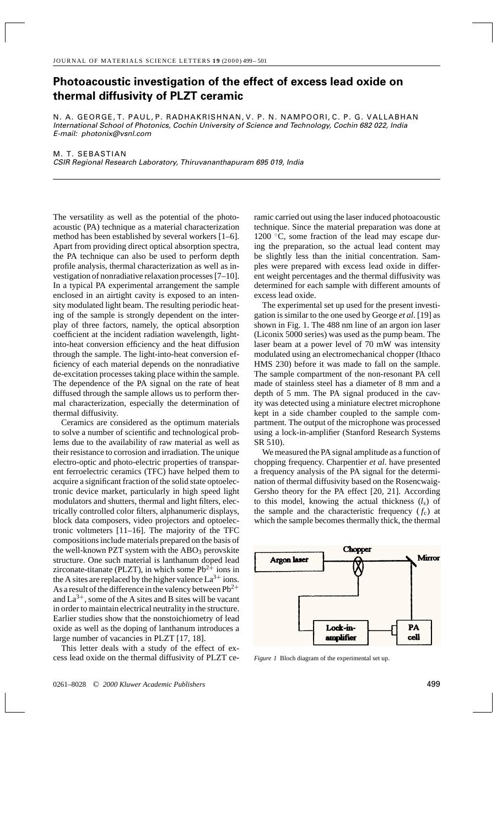## **Photoacoustic investigation of the effect of excess lead oxide on thermal diffusivity of PLZT ceramic**

N. A. GEORGE, T. PAUL, P. RADHAKRISHNAN, V. P. N. NAMPOORI, C. P. G. VALLABHAN International School of Photonics, Cochin University of Science and Technology, Cochin 682 022, India E-mail: photonix@vsnl.com

M. T. SEBASTIAN

CSIR Regional Research Laboratory, Thiruvananthapuram 695 019, India

The versatility as well as the potential of the photoacoustic (PA) technique as a material characterization method has been established by several workers [1–6]. Apart from providing direct optical absorption spectra, the PA technique can also be used to perform depth profile analysis, thermal characterization as well as investigation of nonradiative relaxation processes [7–10]. In a typical PA experimental arrangement the sample enclosed in an airtight cavity is exposed to an intensity modulated light beam. The resulting periodic heating of the sample is strongly dependent on the interplay of three factors, namely, the optical absorption coefficient at the incident radiation wavelength, lightinto-heat conversion efficiency and the heat diffusion through the sample. The light-into-heat conversion efficiency of each material depends on the nonradiative de-excitation processes taking place within the sample. The dependence of the PA signal on the rate of heat diffused through the sample allows us to perform thermal characterization, especially the determination of thermal diffusivity.

Ceramics are considered as the optimum materials to solve a number of scientific and technological problems due to the availability of raw material as well as their resistance to corrosion and irradiation. The unique electro-optic and photo-electric properties of transparent ferroelectric ceramics (TFC) have helped them to acquire a significant fraction of the solid state optoelectronic device market, particularly in high speed light modulators and shutters, thermal and light filters, electrically controlled color filters, alphanumeric displays, block data composers, video projectors and optoelectronic voltmeters [11–16]. The majority of the TFC compositions include materials prepared on the basis of the well-known PZT system with the  $ABO<sub>3</sub>$  perovskite structure. One such material is lanthanum doped lead zirconate-titanate (PLZT), in which some  $Pb^{2+}$  ions in the A sites are replaced by the higher valence  $La^{3+}$  ions. As a result of the difference in the valency between  $Pb^{2+}$ and  $La^{3+}$ , some of the A sites and B sites will be vacant in order to maintain electrical neutrality in the structure. Earlier studies show that the nonstoichiometry of lead oxide as well as the doping of lanthanum introduces a large number of vacancies in PLZT [17, 18].

This letter deals with a study of the effect of excess lead oxide on the thermal diffusivity of PLZT ceramic carried out using the laser induced photoacoustic technique. Since the material preparation was done at  $1200 \degree C$ , some fraction of the lead may escape during the preparation, so the actual lead content may be slightly less than the initial concentration. Samples were prepared with excess lead oxide in different weight percentages and the thermal diffusivity was determined for each sample with different amounts of excess lead oxide.

The experimental set up used for the present investigation is similar to the one used by George *et al.* [19] as shown in Fig. 1. The 488 nm line of an argon ion laser (Liconix 5000 series) was used as the pump beam. The laser beam at a power level of 70 mW was intensity modulated using an electromechanical chopper (Ithaco HMS 230) before it was made to fall on the sample. The sample compartment of the non-resonant PA cell made of stainless steel has a diameter of 8 mm and a depth of 5 mm. The PA signal produced in the cavity was detected using a miniature electret microphone kept in a side chamber coupled to the sample compartment. The output of the microphone was processed using a lock-in-amplifier (Stanford Research Systems SR 510).

We measured the PA signal amplitude as a function of chopping frequency. Charpentier *et al.* have presented a frequency analysis of the PA signal for the determination of thermal diffusivity based on the Rosencwaig-Gersho theory for the PA effect [20, 21]. According to this model, knowing the actual thickness  $(l_s)$  of the sample and the characteristic frequency  $(f_c)$  at which the sample becomes thermally thick, the thermal



*Figure 1* Bloch diagram of the experimental set up.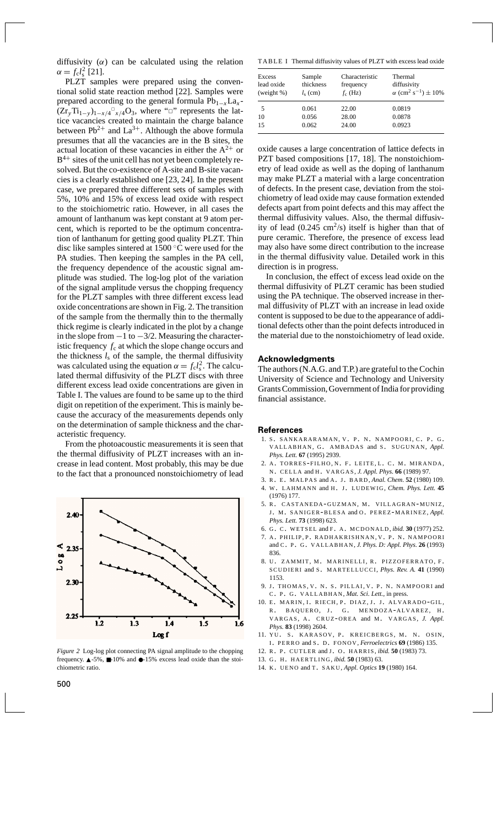diffusivity  $(\alpha)$  can be calculated using the relation  $\alpha = f_{\rm c} l_{\rm s}^2$  [21].

PLZT samples were prepared using the conventional solid state reaction method [22]. Samples were prepared according to the general formula Pb1−*x*La*<sup>x</sup>* -  $(Zr_yTi_{1-y})_{1-x/4}$ <sup> $\Box$ </sup> *x*/4O<sub>3</sub>, where " $\Box$ " represents the lattice vacancies created to maintain the charge balance between  $Pb^{2+}$  and  $La^{3+}$ . Although the above formula presumes that all the vacancies are in the B sites, the actual location of these vacancies in either the  $A^{2+}$  or  $B^{4+}$  sites of the unit cell has not yet been completely resolved. But the co-existence of A-site and B-site vacancies is a clearly established one [23, 24]. In the present case, we prepared three different sets of samples with 5%, 10% and 15% of excess lead oxide with respect to the stoichiometric ratio. However, in all cases the amount of lanthanum was kept constant at 9 atom percent, which is reported to be the optimum concentration of lanthanum for getting good quality PLZT. Thin disc like samples sintered at 1500 ◦C were used for the PA studies. Then keeping the samples in the PA cell, the frequency dependence of the acoustic signal amplitude was studied. The log-log plot of the variation of the signal amplitude versus the chopping frequency for the PLZT samples with three different excess lead oxide concentrations are shown in Fig. 2. The transition of the sample from the thermally thin to the thermally thick regime is clearly indicated in the plot by a change in the slope from  $-1$  to  $-3/2$ . Measuring the characteristic frequency  $f_c$  at which the slope change occurs and the thickness  $l_s$  of the sample, the thermal diffusivity was calculated using the equation  $\alpha = f_c l_s^2$ . The calculated thermal diffusivity of the PLZT discs with three different excess lead oxide concentrations are given in Table I. The values are found to be same up to the third digit on repetition of the experiment. This is mainly because the accuracy of the measurements depends only on the determination of sample thickness and the characteristic frequency.

From the photoacoustic measurements it is seen that the thermal diffusivity of PLZT increases with an increase in lead content. Most probably, this may be due to the fact that a pronounced nonstoichiometry of lead

 $2.40$ 2.35  $2.30$ 2.25  $1.2$  $\overline{1.3}$  $1.4$  $1.5$  $1.6$ 

*Figure 2* Log-log plot connecting PA signal amplitude to the chopping frequency. ▲-5%, ■-10% and ●-15% excess lead oxide than the stoichiometric ratio.

TABLE I Thermal diffusivity values of PLZT with excess lead oxide

| Excess<br>lead oxide<br>$(weight \%)$ | Sample<br>thickness<br>$l_{\rm s}$ (cm) | Characteristic<br>frequency<br>$f_c$ (Hz) | Thermal<br>diffusivity<br>$\alpha$ (cm <sup>2</sup> s <sup>-1</sup> ) $\pm$ 10% |
|---------------------------------------|-----------------------------------------|-------------------------------------------|---------------------------------------------------------------------------------|
| 5                                     | 0.061                                   | 22.00                                     | 0.0819                                                                          |
| 10                                    | 0.056                                   | 28.00                                     | 0.0878                                                                          |
| 15                                    | 0.062                                   | 24.00                                     | 0.0923                                                                          |

oxide causes a large concentration of lattice defects in PZT based compositions [17, 18]. The nonstoichiometry of lead oxide as well as the doping of lanthanum may make PLZT a material with a large concentration of defects. In the present case, deviation from the stoichiometry of lead oxide may cause formation extended defects apart from point defects and this may affect the thermal diffusivity values. Also, the thermal diffusivity of lead  $(0.245 \text{ cm}^2/\text{s})$  itself is higher than that of pure ceramic. Therefore, the presence of excess lead may also have some direct contribution to the increase in the thermal diffusivity value. Detailed work in this direction is in progress.

In conclusion, the effect of excess lead oxide on the thermal diffusivity of PLZT ceramic has been studied using the PA technique. The observed increase in thermal diffusivity of PLZT with an increase in lead oxide content is supposed to be due to the appearance of additional defects other than the point defects introduced in the material due to the nonstoichiometry of lead oxide.

## **Acknowledgments**

The authors (N.A.G. and T.P.) are grateful to the Cochin University of Science and Technology and University Grants Commission, Government of India for providing financial assistance.

## **References**

- 1. S. SANKARARAMAN, V. P. N. NAMPOORI, C. P. G. VALLABHAN, G. AMBADAS and S. SUGUNAN, Appl. *Phys. Lett.* **67** (1995) 2939.
- 2. A. TORRES-FILHO, N. F. LEITE, L. C. M. MIRANDA, N. CELLA and H. VARGAS , *J. Appl. Phys.* **66** (1989) 97.
- 3. R. E. MALPAS and A. J. BARD, *Anal. Chem.* **52** (1980) 109.
- 4. W. LAHMANN and H. J. LUDEWIG, *Chem. Phys. Lett.* **45** (1976) 177.
- 5. R. CASTANEDA-GUZMAN, M. VILLAGRAN-MUNIZ, J. M. SANIGER-BLESA and O. PEREZ-MARINEZ, *Appl. Phys. Lett.* **73** (1998) 623.
- 6. G. C. WETSEL and <sup>F</sup> . A. MCDONALD, *ibid.* **30** (1977) 252.
- 7. A. PHILIP, P. RADHAKRISHNAN, V. P. N. NAMPOORI and C. <sup>P</sup> . G. VALLABHAN, *J. Phys. D: Appl. Phys.* **26** (1993) 836.
- 8. U. ZAMMIT, M. MARINELLI, R. PIZZOFERRATO, F. SCUDIERI and <sup>S</sup> . MARTELLUCCI, *Phys. Rev. A.* **41** (1990) 1153.
- 9. J. THOMAS, V. N. S. PILLAI, V. P. N. NAMPOORI and C. P. G. VALLABHAN, Mat. Sci. Lett., in press.
- 10. E. MARIN, I. RIECH, P. DIAZ, J. J. ALVARADO-GIL, R. BAQUERO, J. G. MENDOZA-ALVAREZ, H. VARGAS, A. CRUZ-OREA and M. VARGAS, *J. Appl. Phys.* **83** (1998) 2604.
- 11. YU. S. KARASOV, P. KREICBERGS, M. N. OSIN, I. PERRO and <sup>S</sup> . D. FONOV, *Ferroelectrics* **69** (1986) 135.
- 12. R. <sup>P</sup> . CUTLER and J. O. HARRIS , *ibid.* **50** (1983) 73.
- 13. G. H. HAERTLING, *ibid.* **50** (1983) 63.
- 14. K. UENO and T. SAKU, *Appl. Optics* **19** (1980) 164.